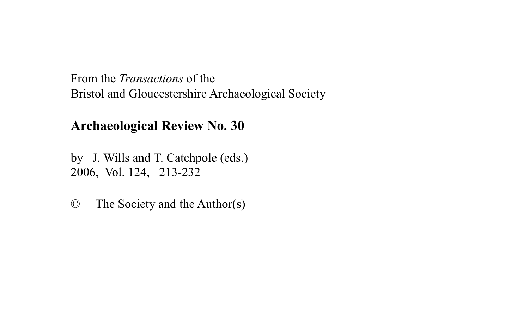From the *Transactions* of the Bristol and Gloucestershire Archaeological Society

# **Archaeological Review No. 30**

by J. Wills and T. Catchpole (eds.) 2006, Vol. 124, 213-232

© The Society and the Author(s)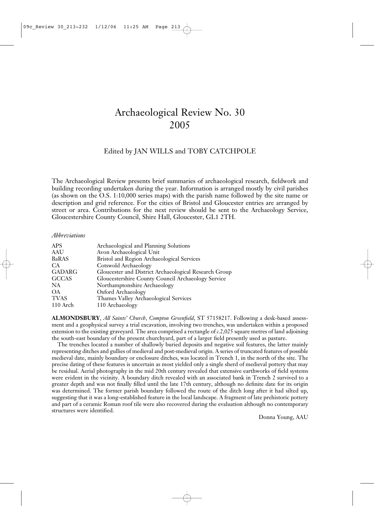# Archaeological Review No. 30 2005

# Edited by JAN WILLS and TOBY CATCHPOLE

The Archaeological Review presents brief summaries of archaeological research, fieldwork and building recording undertaken during the year. Information is arranged mostly by civil parishes (as shown on the O.S. 1:10,000 series maps) with the parish name followed by the site name or description and grid reference. For the cities of Bristol and Gloucester entries are arranged by street or area. Contributions for the next review should be sent to the Archaeology Service, Gloucestershire County Council, Shire Hall, Gloucester, GL1 2TH.

### *Abbreviations*

| Archaeological and Planning Solutions                 |
|-------------------------------------------------------|
| Avon Archaeological Unit                              |
| Bristol and Region Archaeological Services            |
| Cotswold Archaeology                                  |
| Gloucester and District Archaeological Research Group |
| Gloucestershire County Council Archaeology Service    |
| Northamptonshire Archaeology                          |
| Oxford Archaeology                                    |
| Thames Valley Archaeological Services                 |
| 110 Archaeology                                       |
|                                                       |

**ALMONDSBURY**, *All Saints' Church*, *Compton Greenfield*, ST 57158217. Following a desk-based assessment and a geophysical survey a trial excavation, involving two trenches, was undertaken within a proposed extension to the existing graveyard. The area comprised a rectangle of *c*.2,025 square metres of land adjoining the south-east boundary of the present churchyard, part of a larger field presently used as pasture.

The trenches located a number of shallowly buried deposits and negative soil features, the latter mainly representing ditches and gullies of medieval and post-medieval origin. A series of truncated features of possible medieval date, mainly boundary or enclosure ditches, was located in Trench 1, in the north of the site. The precise dating of these features is uncertain as most yielded only a single sherd of medieval pottery that may be residual. Aerial photography in the mid 20th century revealed that extensive earthworks of field systems were evident in the vicinity. A boundary ditch revealed with an associated bank in Trench 2 survived to a greater depth and was not finally filled until the late 17th century, although no definite date for its origin was determined. The former parish boundary followed the route of the ditch long after it had silted up, suggesting that it was a long-established feature in the local landscape. A fragment of late prehistoric pottery and part of a ceramic Roman roof tile were also recovered during the evaluation although no contemporary structures were identified.

Donna Young, AAU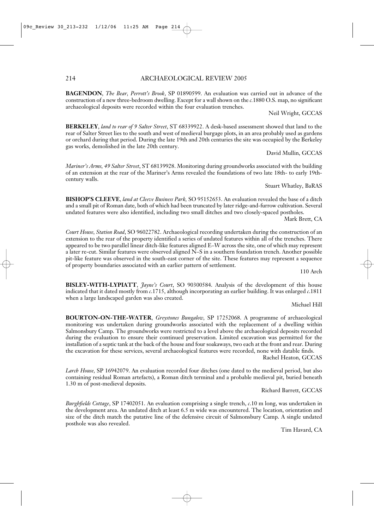**BAGENDON**, *The Bear, Perrott's Brook*, SP 01890599. An evaluation was carried out in advance of the construction of a new three-bedroom dwelling. Except for a wall shown on the *c.*1880 O.S. map, no significant archaeological deposits were recorded within the four evaluation trenches.

Neil Wright, GCCAS

**BERKELEY**, *land to rear of 9 Salter Street*, ST 68339922. A desk-based assessment showed that land to the rear of Salter Street lies to the south and west of medieval burgage plots, in an area probably used as gardens or orchard during that period. During the late 19th and 20th centuries the site was occupied by the Berkeley gas works, demolished in the late 20th century.

David Mullin, GCCAS

*Mariner's Arms, 49 Salter Street*, ST 68139928. Monitoring during groundworks associated with the building of an extension at the rear of the Mariner's Arms revealed the foundations of two late 18th- to early 19thcentury walls.

Stuart Whatley, BaRAS

**BISHOP'S CLEEVE**, *land at Cleeve Business Park,* SO 95152653. An evaluation revealed the base of a ditch and a small pit of Roman date, both of which had been truncated by later ridge-and-furrow cultivation. Several undated features were also identified, including two small ditches and two closely-spaced postholes.

Mark Brett, CA

*Court House, Station Road*, SO 96022782. Archaeological recording undertaken during the construction of an extension to the rear of the property identified a series of undated features within all of the trenches. There appeared to be two parallel linear ditch-like features aligned E–W across the site, one of which may represent a later re-cut. Similar features were observed aligned N–S in a southern foundation trench. Another possible pit-like feature was observed in the south-east corner of the site. These features may represent a sequence of property boundaries associated with an earlier pattern of settlement.

110 Arch

**BISLEY-WITH-LYPIATT**, *Jayne's Court*, SO 90300584. Analysis of the development of this house indicated that it dated mostly from *c*.1715, although incorporating an earlier building. It was enlarged *c*.1811 when a large landscaped garden was also created.

Michael Hill

**BOURTON-ON-THE-WATER**, *Greystones Bungalow,* SP 17252068. A programme of archaeological monitoring was undertaken during groundworks associated with the replacement of a dwelling within Salmonsbury Camp. The groundworks were restricted to a level above the archaeological deposits recorded during the evaluation to ensure their continued preservation. Limited excavation was permitted for the installation of a septic tank at the back of the house and four soakaways, two each at the front and rear. During the excavation for these services, several archaeological features were recorded, none with datable finds.

Rachel Heaton, GCCAS

*Larch House,* SP 16942079. An evaluation recorded four ditches (one dated to the medieval period, but also containing residual Roman artefacts), a Roman ditch terminal and a probable medieval pit, buried beneath 1.30 m of post-medieval deposits.

Richard Barrett, GCCAS

*Burghfields Cottage*, SP 17402051. An evaluation comprising a single trench, *c*.10 m long, was undertaken in the development area. An undated ditch at least 6.5 m wide was encountered. The location, orientation and size of the ditch match the putative line of the defensive circuit of Salmonsbury Camp. A single undated posthole was also revealed.

Tim Havard, CA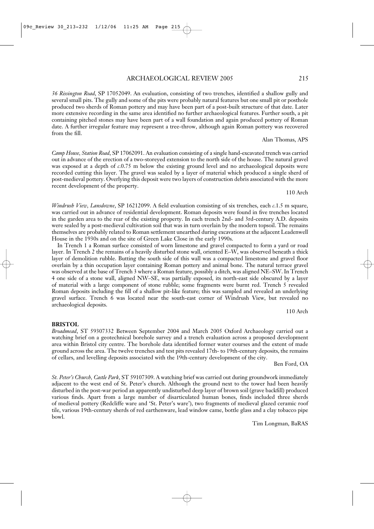*36 Rissington Road*, SP 17052049. An evaluation, consisting of two trenches, identified a shallow gully and several small pits. The gully and some of the pits were probably natural features but one small pit or posthole produced two sherds of Roman pottery and may have been part of a post-built structure of that date. Later more extensive recording in the same area identified no further archaeological features. Further south, a pit containing pitched stones may have been part of a wall foundation and again produced pottery of Roman date. A further irregular feature may represent a tree-throw, although again Roman pottery was recovered from the fill.

*Camp House, Station Road*, SP 17062091. An evaluation consisting of a single hand-excavated trench was carried out in advance of the erection of a two-storeyed extension to the north side of the house. The natural gravel was exposed at a depth of *c*.0.75 m below the existing ground level and no archaeological deposits were recorded cutting this layer. The gravel was sealed by a layer of material which produced a single sherd of post-medieval pottery. Overlying this deposit were two layers of construction debris associated with the more recent development of the property.

*Windrush View, Lansdowne*, SP 16212099. A field evaluation consisting of six trenches, each *c*.1.5 m square, was carried out in advance of residential development. Roman deposits were found in five trenches located in the garden area to the rear of the existing property. In each trench 2nd- and 3rd-century A.D. deposits were sealed by a post-medieval cultivation soil that was in turn overlain by the modern topsoil. The remains themselves are probably related to Roman settlement unearthed during excavations at the adjacent Leadenwell House in the 1930s and on the site of Green Lake Close in the early 1990s.

In Trench 1 a Roman surface consisted of worn limestone and gravel compacted to form a yard or road layer. In Trench 2 the remains of a heavily disturbed stone wall, oriented E–W, was observed beneath a thick layer of demolition rubble. Butting the south side of this wall was a compacted limestone and gravel floor overlain by a thin occupation layer containing Roman pottery and animal bone. The natural terrace gravel was observed at the base of Trench 3 where a Roman feature, possibly a ditch, was aligned NE–SW. In Trench 4 one side of a stone wall, aligned NW–SE, was partially exposed, its north-east side obscured by a layer of material with a large component of stone rubble; some fragments were burnt red. Trench 5 revealed Roman deposits including the fill of a shallow pit-like feature; this was sampled and revealed an underlying gravel surface. Trench 6 was located near the south-east corner of Windrush View, but revealed no archaeological deposits.

*Broadmead*, ST 59307332 Between September 2004 and March 2005 Oxford Archaeology carried out a

watching brief on a geotechnical borehole survey and a trench evaluation across a proposed development area within Bristol city centre. The borehole data identified former water courses and the extent of made ground across the area. The twelve trenches and test pits revealed 17th- to 19th-century deposits, the remains of cellars, and levelling deposits associated with the 19th-century development of the city.

**BRISTOL**

Ben Ford, OA

Tim Longman, BaRAS

*St. Peter's Church, Castle Park*, ST 59107309. A watching brief was carried out during groundwork immediately adjacent to the west end of St. Peter's church. Although the ground next to the tower had been heavily disturbed in the post-war period an apparently undisturbed deep layer of brown soil (grave backfill) produced various finds. Apart from a large number of disarticulated human bones, finds included three sherds of medieval pottery (Redcliffe ware and 'St. Peter's ware'), two fragments of medieval glazed ceramic roof tile, various 19th-century sherds of red earthenware, lead window came, bottle glass and a clay tobacco pipe bowl.

110 Arch

Alan Thomas, APS

110 Arch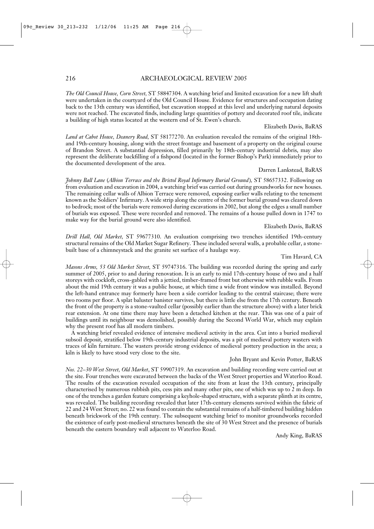# 216 ARCHAEOLOGICAL REVIEW 2005

*The Old Council House, Corn Street,* ST 58847304. A watching brief and limited excavation for a new lift shaft were undertaken in the courtyard of the Old Council House. Evidence for structures and occupation dating back to the 13th century was identified, but excavation stopped at this level and underlying natural deposits were not reached. The excavated finds, including large quantities of pottery and decorated roof tile, indicate a building of high status located at the western end of St. Ewen's church.

### Elizabeth Davis, BaRAS

*Land at Cabot House, Deanery Road,* ST 58177270. An evaluation revealed the remains of the original 18thand 19th-century housing, along with the street frontage and basement of a property on the original course of Brandon Street. A substantial depression, filled primarily by 18th-century industrial debris, may also represent the deliberate backfilling of a fishpond (located in the former Bishop's Park) immediately prior to the documented development of the area.

### Darren Lankstead, BaRAS

*Johnny Ball Lane* (*Albion Terrace and the Bristol Royal Infirmary Burial Ground*)*,* ST 58657332. Following on from evaluation and excavation in 2004, a watching brief was carried out during groundworks for new houses. The remaining cellar walls of Albion Terrace were removed, exposing earlier walls relating to the tenement known as the Soldiers' Infirmary. A wide strip along the centre of the former burial ground was cleared down to bedrock; most of the burials were removed during excavations in 2002, but along the edges a small number of burials was exposed. These were recorded and removed. The remains of a house pulled down in 1747 to make way for the burial ground were also identified.

# Elizabeth Davis, BaRAS

*Drill Hall, Old Market,* ST 59677310. An evaluation comprising two trenches identified 19th-century structural remains of the Old Market Sugar Refinery. These included several walls, a probable cellar, a stonebuilt base of a chimneystack and the granite set surface of a haulage way.

### Tim Havard, CA

*Masons Arms, 53 Old Market Street,* ST 59747316. The building was recorded during the spring and early summer of 2005, prior to and during renovation. It is an early to mid 17th-century house of two and a half storeys with cockloft, cross-gabled with a jettied, timber-framed front but otherwise with rubble walls. From about the mid 19th century it was a public house, at which time a wide front window was installed. Beyond the left-hand entrance may formerly have been a side corridor leading to the central staircase; there were two rooms per floor. A splat baluster banister survives, but there is little else from the 17th century. Beneath the front of the property is a stone-vaulted cellar (possibly earlier than the structure above) with a later brick rear extension. At one time there may have been a detached kitchen at the rear. This was one of a pair of buildings until its neighbour was demolished, possibly during the Second World War, which may explain why the present roof has all modern timbers.

A watching brief revealed evidence of intensive medieval activity in the area. Cut into a buried medieval subsoil deposit, stratified below 19th-century industrial deposits, was a pit of medieval pottery wasters with traces of kiln furniture. The wasters provide strong evidence of medieval pottery production in the area; a kiln is likely to have stood very close to the site.

### John Bryant and Kevin Potter, BaRAS

*Nos. 22–30 West Street, Old Market*, ST 59907319. An excavation and building recording were carried out at the site. Four trenches were excavated between the backs of the West Street properties and Waterloo Road. The results of the excavation revealed occupation of the site from at least the 13th century, principally characterised by numerous rubbish pits, cess pits and many other pits, one of which was up to 2 m deep. In one of the trenches a garden feature comprising a keyhole-shaped structure, with a separate plinth at its centre, was revealed. The building recording revealed that later 17th-century elements survived within the fabric of 22 and 24 West Street; no. 22 was found to contain the substantial remains of a half-timbered building hidden beneath brickwork of the 19th century. The subsequent watching brief to monitor groundworks recorded the existence of early post-medieval structures beneath the site of 30 West Street and the presence of burials beneath the eastern boundary wall adjacent to Waterloo Road.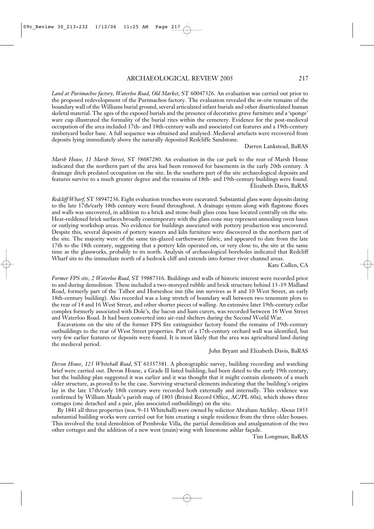*Land at Purimachos factory, Waterloo Road, Old Market,* ST 60047326. An evaluation was carried out prior to the proposed redevelopment of the Purimachos factory. The evaluation revealed the *in-situ* remains of the boundary wall of the Williams burial ground, several articulated infant burials and other disarticulated human skeletal material. The ages of the exposed burials and the presence of decorative grave furniture and a 'sponge' ware cup illustrated the formality of the burial rites within the cemetery. Evidence for the post-medieval occupation of the area included 17th- and 18th-century walls and associated cut features and a 19th-century timberyard boiler base. A full sequence was obtained and analysed. Medieval artefacts were recovered from deposits lying immediately above the naturally deposited Redcliffe Sandstone.

Darren Lankstead, BaRAS

*Marsh House, 11 Marsh Street,* ST 58687280. An evaluation in the car park to the rear of Marsh House indicated that the northern part of the area had been removed for basements in the early 20th century. A drainage ditch predated occupation on the site. In the southern part of the site archaeological deposits and features survive to a much greater degree and the remains of 18th- and 19th-century buildings were found. Elizabeth Davis, BaRAS

*Redcliff Wharf,* ST 58947236. Eight evaluation trenches were excavated. Substantial glass waste deposits dating to the late 17th/early 18th century were found throughout. A drainage system along with flagstone floors and walls was uncovered, in addition to a brick and stone-built glass cone base located centrally on the site. Heat-reddened brick surfaces broadly contemporary with the glass cone may represent annealing oven bases or outlying workshop areas. No evidence for buildings associated with pottery production was uncovered. Despite this, several deposits of pottery wasters and kiln furniture were discovered in the northern part of the site. The majority were of the same tin-glazed earthenware fabric, and appeared to date from the late 17th to the 18th century, suggesting that a pottery kiln operated on, or very close to, the site at the same time as the glassworks, probably to its north. Analysis of archaeological boreholes indicated that Redcliff Wharf sits to the immediate north of a bedrock cliff and extends into former river channel areas.

Kate Cullen, CA

*Former FPS site, 2 Waterloo Road,* ST 59887316. Buildings and walls of historic interest were recorded prior to and during demolition. These included a two-storeyed rubble and brick structure behind 13–19 Midland Road, formerly part of the Talbot and Horseshoe inn (the inn survives as 8 and 10 West Street, an early 18th-century building). Also recorded was a long stretch of boundary wall between two tenement plots to the rear of 14 and 16 West Street, and other shorter pieces of walling. An extensive later 19th-century cellar complex formerly associated with Dole's, the bacon and ham curers, was recorded between 16 West Street and Waterloo Road. It had been converted into air-raid shelters during the Second World War.

Excavations on the site of the former FPS fire extinguisher factory found the remains of 19th-century outbuildings to the rear of West Street properties. Part of a 17th-century orchard wall was identified, but very few earlier features or deposits were found. It is most likely that the area was agricultural land during the medieval period.

### John Bryant and Elizabeth Davis, BaRAS

*Devon House, 123 Whitehall Road*, ST 61357381. A photographic survey, building recording and watching brief were carried out. Devon House, a Grade II listed building, had been dated to the early 19th century, but the building plan suggested it was earlier and it was thought that it might contain elements of a much older structure, as proved to be the case. Surviving structural elements indicating that the building's origins lay in the late 17th/early 18th century were recorded both externally and internally. This evidence was confirmed by William Maule's parish map of 1803 (Bristol Record Office, AC/PL 60a), which shows three cottages (one detached and a pair, plus associated outbuildings) on the site.

By 1841 all three properties (nos. 9–11 Whitehall) were owned by solicitor Abraham Atchley. About 1855 substantial building works were carried out for him creating a single residence from the three older houses. This involved the total demolition of Pembroke Villa, the partial demolition and amalgamation of the two other cottages and the addition of a new west (main) wing with limestone ashlar façade.

Tim Longman, BaRAS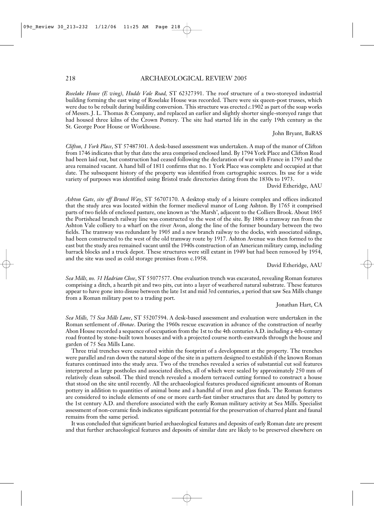# 218 ARCHAEOLOGICAL REVIEW 2005

*Roselake House (E wing), Hudds Vale Road,* ST 62327391. The roof structure of a two-storeyed industrial building forming the east wing of Roselake House was recorded. There were six queen-post trusses, which were due to be rebuilt during building conversion. This structure was erected *c*.1902 as part of the soap works of Messrs. J. L. Thomas & Company, and replaced an earlier and slightly shorter single-storeyed range that had housed three kilns of the Crown Pottery. The site had started life in the early 19th century as the St. George Poor House or Workhouse.

John Bryant, BaRAS

*Clifton, 1 York Place*, ST 57487301. A desk-based assessment was undertaken. A map of the manor of Clifton from 1746 indicates that by that date the area comprised enclosed land. By 1794 York Place and Clifton Road had been laid out, but construction had ceased following the declaration of war with France in 1793 and the area remained vacant. A hand bill of 1811 confirms that no. 1 York Place was complete and occupied at that date. The subsequent history of the property was identified from cartographic sources. Its use for a wide variety of purposes was identified using Bristol trade directories dating from the 1830s to 1973.

David Etheridge, AAU

*Ashton Gate, site off Brunel Way*, ST 56707170. A desktop study of a leisure complex and offices indicated that the study area was located within the former medieval manor of Long Ashton. By 1765 it comprised parts of two fields of enclosed pasture, one known as 'the Marsh', adjacent to the Colliers Brook. About 1865 the Portishead branch railway line was constructed to the west of the site. By 1886 a tramway ran from the Ashton Vale colliery to a wharf on the river Avon, along the line of the former boundary between the two fields. The tramway was redundant by 1905 and a new branch railway to the docks, with associated sidings, had been constructed to the west of the old tramway route by 1917. Ashton Avenue was then formed to the east but the study area remained vacant until the 1940s construction of an American military camp, including barrack blocks and a truck depot. These structures were still extant in 1949 but had been removed by 1954, and the site was used as cold storage premises from c.1958.

David Etheridge, AAU

*Sea Mills, no. 31 Hadrian Close*, ST 55077577. One evaluation trench was excavated, revealing Roman features comprising a ditch, a hearth pit and two pits, cut into a layer of weathered natural substrate. These features appear to have gone into disuse between the late 1st and mid 3rd centuries, a period that saw Sea Mills change from a Roman military post to a trading port.

Jonathan Hart, CA

*Sea Mills, 75 Sea Mills Lane*, ST 55207594. A desk-based assessment and evaluation were undertaken in the Roman settlement of *Abonae*. During the 1960s rescue excavation in advance of the construction of nearby Abon House recorded a sequence of occupation from the 1st to the 4th centuries A.D. including a 4th-century road fronted by stone-built town houses and with a projected course north-eastwards through the house and garden of 75 Sea Mills Lane.

Three trial trenches were excavated within the footprint of a development at the property. The trenches were parallel and ran down the natural slope of the site in a pattern designed to establish if the known Roman features continued into the study area. Two of the trenches revealed a series of substantial cut soil features interpreted as large postholes and associated ditches, all of which were sealed by approximately 250 mm of relatively clean subsoil. The third trench revealed a modern terraced cutting formed to construct a house that stood on the site until recently. All the archaeological features produced significant amounts of Roman pottery in addition to quantities of animal bone and a handful of iron and glass finds. The Roman features are considered to include elements of one or more earth-fast timber structures that are dated by pottery to the 1st century A.D. and therefore associated with the early Roman military activity at Sea Mills. Specialist assessment of non-ceramic finds indicates significant potential for the preservation of charred plant and faunal remains from the same period.

It was concluded that significant buried archaeological features and deposits of early Roman date are present and that further archaeological features and deposits of similar date are likely to be preserved elsewhere on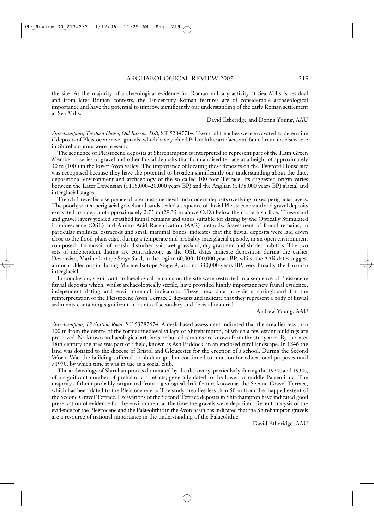the site. As the majority of archaeological evidence for Roman military activity at Sea Mills is residual and from later Roman contexts, the 1st-century Roman features are of considerable archaeological importance and have the potential to improve significantly our understanding of the early Roman settlement at Sea Mills.

David Etheridge and Donna Young, AAU

*Shirehampton, Twyford House, Old Barrow Hill*, ST 52847714. Two trial trenches were excavated to determine if deposits of Pleistocene river gravels, which have yielded Palaeolithic artefacts and faunal remains elsewhere in Shirehampton, were present.

The sequence of Pleistocene deposits at Shirehampton is interpreted to represent part of the Ham Green Member, a series of gravel and other fluvial deposits that form a raised terrace at a height of approximately 30 m (100') in the lower Avon valley. The importance of locating these deposits on the Twyford House site was recognised because they have the potential to broaden significantly our understanding about the date, depositional environment and archaeology of the so called 100 foot Terrace. Its suggested origin varies between the Later Devensian (*c.*116,000–20,000 years BP) and the Anglian (*c.*478,000 years BP) glacial and interglacial stages.

Trench 1 revealed a sequence of later post-medieval and modern deposits overlying mixed periglacial layers. The poorly sorted periglacial gravels and sands sealed a sequence of fluvial Pleistocene sand and gravel deposits excavated to a depth of approximately 2.75 m (29.35 m above O.D.) below the modern surface. These sand and gravel layers yielded stratified faunal remains and sands suitable for dating by the Optically Stimulated Luminescence (OSL) and Amino Acid Racemization (AAR) methods. Assessment of faunal remains, in particular molluscs, ostracods and small mammal bones, indicates that the fluvial deposits were laid down close to the flood-plain edge, during a temperate and probably interglacial episode, in an open environment composed of a mosaic of marsh, disturbed soil, wet grassland, dry grassland and shaded habitats. The two sets of independent dating are contradictory as the OSL dates indicate deposition during the earlier Devensian, Marine Isotope Stage 5a-d, in the region 60,000–100,000 years BP, whilst the AAR dates suggest a much older origin during Marine Isotope Stage 9, around 330,000 years BP, very broadly the Hoxnian interglacial.

In conclusion, significant archaeological remains on the site were restricted to a sequence of Pleistocene fluvial deposits which, whilst archaeologically sterile, have provided highly important new faunal evidence, independent dating and environmental indicators. These new data provide a springboard for the reinterpretation of the Pleistocene Avon Terrace 2 deposits and indicate that they represent a body of fluvial sediments containing significant amounts of secondary and derived material.

Andrew Young, AAU

*Shirehampton, 12 Station Road*, ST 53287674. A desk-based assessment indicated that the area lies less than 100 m from the centre of the former medieval village of Shirehampton, of which a few extant buildings are preserved. No known archaeological artefacts or buried remains are known from the study area. By the later 18th century the area was part of a field, known as Ash Paddock, in an enclosed rural landscape. In 1846 the land was donated to the diocese of Bristol and Gloucester for the erection of a school. During the Second World War the building suffered bomb damage, but continued to function for educational purposes until *c.*1970, by which time it was in use as a social club.

The archaeology of Shirehampton is dominated by the discovery, particularly during the 1920s and 1930s, of a significant number of prehistoric artefacts, generally dated to the lower or middle Palaeolithic. The majority of them probably originated from a geological drift feature known as the Second Gravel Terrace, which has been dated to the Pleistocene era. The study area lies less than 50 m from the mapped extent of the Second Gravel Terrace. Excavations of the Second Terrace deposits in Shirehampton have indicated good preservation of evidence for the environment at the time the gravels were deposited. Recent analysis of the evidence for the Pleistocene and the Palaeolithic in the Avon basin has indicated that the Shirehampton gravels are a resource of national importance in the understanding of the Palaeolithic.

David Etheridge, AAU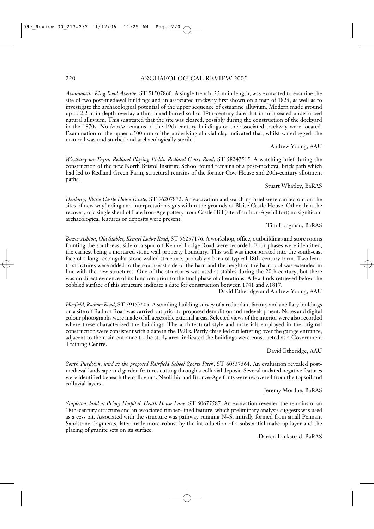# 220 ARCHAEOLOGICAL REVIEW 2005

*Avonmouth, King Road Avenue*, ST 51507860. A single trench, 25 m in length, was excavated to examine the site of two post-medieval buildings and an associated trackway first shown on a map of 1825, as well as to investigate the archaeological potential of the upper sequence of estuarine alluvium. Modern made ground up to 2.2 m in depth overlay a thin mixed buried soil of 19th-century date that in turn sealed undisturbed natural alluvium. This suggested that the site was cleared, possibly during the construction of the dockyard in the 1870s. No *in-situ* remains of the 19th-century buildings or the associated trackway were located. Examination of the upper *c.*500 mm of the underlying alluvial clay indicated that, whilst waterlogged, the material was undisturbed and archaeologically sterile.

Andrew Young, AAU

*Westbury-on-Trym, Redland Playing Fields, Redland Court Road*, ST 58247515. A watching brief during the construction of the new North Bristol Institute School found remains of a post-medieval brick path which had led to Redland Green Farm, structural remains of the former Cow House and 20th-century allotment paths.

### Stuart Whatley, BaRAS

*Henbury, Blaise Castle House Estate*, ST 56207872. An excavation and watching brief were carried out on the sites of new wayfinding and interpretation signs within the grounds of Blaise Castle House. Other than the recovery of a single sherd of Late Iron-Age pottery from Castle Hill (site of an Iron-Age hillfort) no significant archaeological features or deposits were present.

### Tim Longman, BaRAS

*Bower Ashton, Old Stables, Kennel Lodge Road*, ST 56257176. A workshop, office, outbuildings and store rooms fronting the south-east side of a spur off Kennel Lodge Road were recorded. Four phases were identified, the earliest being a mortared stone wall property boundary. This wall was incorporated into the south-east face of a long rectangular stone walled structure, probably a barn of typical 18th-century form. Two leanto structures were added to the south-east side of the barn and the height of the barn roof was extended in line with the new structures. One of the structures was used as stables during the 20th century, but there was no direct evidence of its function prior to the final phase of alterations. A few finds retrieved below the cobbled surface of this structure indicate a date for construction between 1741 and *c*.1817.

David Etheridge and Andrew Young, AAU

*Horfield, Radnor Road*, ST 59157605. A standing building survey of a redundant factory and ancillary buildings on a site off Radnor Road was carried out prior to proposed demolition and redevelopment. Notes and digital colour photographs were made of all accessible external areas. Selected views of the interior were also recorded where these characterized the buildings. The architectural style and materials employed in the original construction were consistent with a date in the 1920s. Partly chiselled out lettering over the garage entrance, adjacent to the main entrance to the study area, indicated the buildings were constructed as a Government Training Centre.

# David Etheridge, AAU

*South Purdown, land at the proposed Fairfield School Sports Pitch*, ST 60537564. An evaluation revealed postmedieval landscape and garden features cutting through a colluvial deposit. Several undated negative features were identified beneath the colluvium. Neolithic and Bronze-Age flints were recovered from the topsoil and colluvial layers.

# Jeremy Mordue, BaRAS

*Stapleton, land at Priory Hospital, Heath House Lane*, ST 60677587. An excavation revealed the remains of an 18th-century structure and an associated timber-lined feature, which preliminary analysis suggests was used as a cess pit. Associated with the structure was pathway running N–S, initially formed from small Pennant Sandstone fragments, later made more robust by the introduction of a substantial make-up layer and the placing of granite sets on its surface.

Darren Lankstead, BaRAS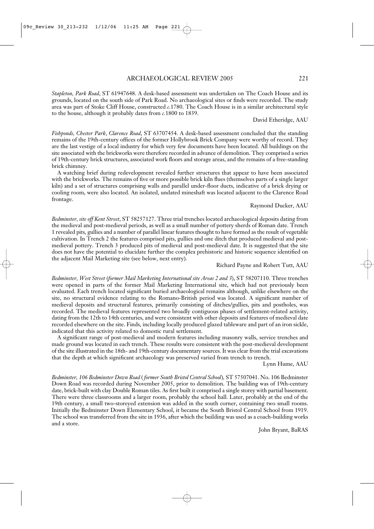*Stapleton, Park Road*, ST 61947648. A desk-based assessment was undertaken on The Coach House and its grounds, located on the south side of Park Road. No archaeological sites or finds were recorded. The study area was part of Stoke Cliff House, constructed *c.*1780. The Coach House is in a similar architectural style to the house, although it probably dates from *c.*1800 to 1839.

David Etheridge, AAU

*Fishponds, Chester Park*, *Clarence Road*, ST 63707454. A desk-based assessment concluded that the standing remains of the 19th-century offices of the former Hollybrook Brick Company were worthy of record. They are the last vestige of a local industry for which very few documents have been located. All buildings on the site associated with the brickworks were therefore recorded in advance of demolition. They comprised a series of 19th-century brick structures, associated work floors and storage areas, and the remains of a free-standing brick chimney.

A watching brief during redevelopment revealed further structures that appear to have been associated with the brickworks. The remains of five or more possible brick kiln flues (themselves parts of a single larger kiln) and a set of structures comprising walls and parallel under-floor ducts, indicative of a brick drying or cooling room, were also located. An isolated, undated mineshaft was located adjacent to the Clarence Road frontage.

### Raymond Ducker, AAU

*Bedminster, site off Kent Street*, ST 58257127. Three trial trenches located archaeological deposits dating from the medieval and post-medieval periods, as well as a small number of pottery sherds of Roman date. Trench 1 revealed pits, gullies and a number of parallel linear features thought to have formed as the result of vegetable cultivation. In Trench 2 the features comprised pits, gullies and one ditch that produced medieval and postmedieval pottery. Trench 3 produced pits of medieval and post-medieval date. It is suggested that the site does not have the potential to elucidate further the complex prehistoric and historic sequence identified on the adjacent Mail Marketing site (see below, next entry).

### Richard Payne and Robert Tutt, AAU

*Bedminster, West Street* (*former Mail Marketing International site Areas 2 and 3*), ST 58207110. Three trenches were opened in parts of the former Mail Marketing International site, which had not previously been evaluated. Each trench located significant buried archaeological remains although, unlike elsewhere on the site, no structural evidence relating to the Romano-British period was located. A significant number of medieval deposits and structural features, primarily consisting of ditches/gullies, pits and postholes, was recorded. The medieval features represented two broadly contiguous phases of settlement-related activity, dating from the 12th to 14th centuries, and were consistent with other deposits and features of medieval date recorded elsewhere on the site. Finds, including locally produced glazed tableware and part of an iron sickle, indicated that this activity related to domestic rural settlement.

A significant range of post-medieval and modern features including masonry walls, service trenches and made ground was located in each trench. These results were consistent with the post-medieval development of the site illustrated in the 18th- and 19th-century documentary sources. It was clear from the trial excavations that the depth at which significant archaeology was preserved varied from trench to trench.

Lynn Hume, AAU

*Bedminster, 106 Bedminster Down Road* ( *former South Bristol Central School*)*,* ST 57507041. No. 106 Bedminster Down Road was recorded during November 2005, prior to demolition. The building was of 19th-century date, brick-built with clay Double Roman tiles. As first built it comprised a single storey with partial basement. There were three classrooms and a larger room, probably the school hall. Later, probably at the end of the 19th century, a small two-storeyed extension was added in the south corner, containing two small rooms. Initially the Bedminster Down Elementary School, it became the South Bristol Central School from 1919. The school was transferred from the site in 1936, after which the building was used as a coach-building works and a store.

John Bryant, BaRAS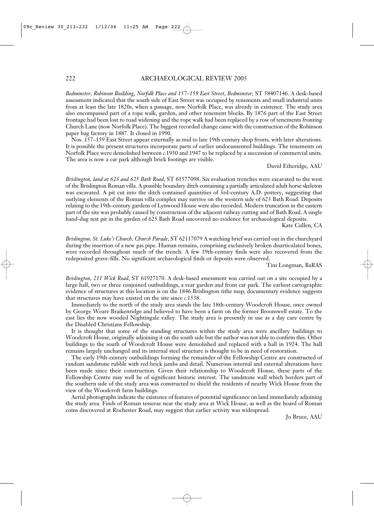*Bedminster, Robinson Building, Norfolk Place and 157–159 East Street*, *Bedminster,* ST 58407146. A desk-based assessment indicated that the south side of East Street was occupied by tenements and small industrial units from at least the late 1820s, when a passage, now Norfolk Place, was already in existence. The study area also encompassed part of a rope walk, garden, and other tenement blocks. By 1876 part of the East Street frontage had been lost to road widening and the rope walk had been replaced by a row of tenements fronting Church Lane (now Norfolk Place). The biggest recorded change came with the construction of the Robinson paper bag factory in 1887. It closed in 1990.

Nos. 157–159 East Street appear externally as mid to late 19th-century shop fronts, with later alterations. It is possible the present structures incorporate parts of earlier undocumented buildings. The tenements on Norfolk Place were demolished between *c*.1930 and 1947 to be replaced by a succession of commercial units. The area is now a car park although brick footings are visible.

### David Etheridge, AAU

*Brislington, land at 623 and 625 Bath Road*, ST 61577098. Six evaluation trenches were excavated to the west of the Brislington Roman villa. A possible boundary ditch containing a partially articulated adult horse skeleton was excavated. A pit cut into the ditch contained quantities of 3rd-century A.D. pottery, suggesting that outlying elements of the Roman villa complex may survive on the western side of 623 Bath Road. Deposits relating to the 19th-century gardens of Lynwood House were also recorded. Modern truncation in the eastern part of the site was probably caused by construction of the adjacent railway cutting and of Bath Road. A single hand-dug test pit in the garden of 625 Bath Road uncovered no evidence for archaeological deposits.

Kate Cullen, CA

*Brislington, St. Luke's Church, Church Parade*, ST 62117079 A watching brief was carried out in the churchyard during the insertion of a new gas pipe. Human remains, comprising exclusively broken disarticulated bones, were recorded throughout much of the trench. A few 19th-century finds were also recovered from the redeposited grave-fills. No significant archaeological finds or deposits were observed.

Tim Longman, BaRAS

*Brislington, 211 Wick Road*, ST 61927170. A desk-based assessment was carried out on a site occupied by a large hall, two or three conjoined outbuildings, a rear garden and front car park. The earliest cartographic evidence of structures at this location is on the 1846 Brislington tithe map; documentary evidence suggests that structures may have existed on the site since *c.*1538.

Immediately to the north of the study area stands the late 18th-century Woodcroft House, once owned by George Weare Braikenridge and believed to have been a farm on the former Broomwell estate. To the east lies the now wooded Nightingale valley. The study area is presently in use as a day care centre by the Disabled Christians Fellowship.

It is thought that some of the standing structures within the study area were ancillary buildings to Woodcroft House, originally adjoining it on the south side but the author was not able to confirm this. Other buildings to the south of Woodcroft House were demolished and replaced with a hall in 1924. The hall remains largely unchanged and its internal steel structure is thought to be in need of restoration.

The early 19th-century outbuildings forming the remainder of the Fellowship Centre are constructed of random sandstone rubble with red brick jambs and detail. Numerous internal and external alterations have been made since their construction. Given their relationship to Woodcroft House, these parts of the Fellowship Centre may well be of significant historic interest. The sandstone wall which borders part of the southern side of the study area was constructed to shield the residents of nearby Wick House from the view of the Woodcroft farm buildings.

Aerial photographs indicate the existence of features of potential significance on land immediately adjoining the study area. Finds of Roman tesserae near the study area at Wick House, as well as the hoard of Roman coins discovered at Rochester Road, may suggest that earlier activity was widespread.

Jo Bruce, AAU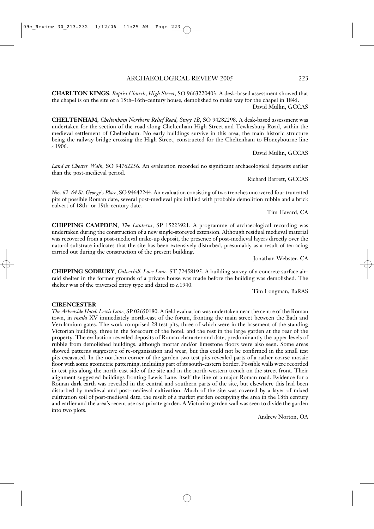**CHARLTON KINGS**, *Baptist Church*, *High Street*, SO 9663220403. A desk-based assessment showed that the chapel is on the site of a 15th–16th-century house, demolished to make way for the chapel in 1845. David Mullin, GCCAS

**CHELTENHAM**, *Cheltenham Northern Relief Road, Stage 1B*, SO 94282298. A desk-based assessment was undertaken for the section of the road along Cheltenham High Street and Tewkesbury Road, within the medieval settlement of Cheltenham. No early buildings survive in this area, the main historic structure being the railway bridge crossing the High Street, constructed for the Cheltenham to Honeybourne line *c.*1906.

# David Mullin, GCCAS

*Land at Chester Walk,* SO 94762256. An evaluation recorded no significant archaeological deposits earlier than the post-medieval period.

# Richard Barrett, GCCAS

*Nos. 62–64 St. George's Place*, SO 94642244. An evaluation consisting of two trenches uncovered four truncated pits of possible Roman date, several post-medieval pits infilled with probable demolition rubble and a brick culvert of 18th- or 19th-century date.

Tim Havard, CA

**CHIPPING CAMPDEN**, *The Lanterns*, SP 15223921. A programme of archaeological recording was undertaken during the construction of a new single-storeyed extension. Although residual medieval material was recovered from a post-medieval make-up deposit, the presence of post-medieval layers directly over the natural substrate indicates that the site has been extensively disturbed, presumably as a result of terracing carried out during the construction of the present building.

Jonathan Webster, CA

**CHIPPING SODBURY**, *Culverhill, Love Lane,* ST 72458195. A building survey of a concrete surface airraid shelter in the former grounds of a private house was made before the building was demolished. The shelter was of the traversed entry type and dated to *c*.1940.

Tim Longman, BaRAS

### **CIRENCESTER**

*The Arkenside Hotel, Lewis Lane,* SP 02650180. A field evaluation was undertaken near the centre of the Roman town, in *insula* XV immediately north-east of the forum, fronting the main street between the Bath and Verulamium gates. The work comprised 28 test pits, three of which were in the basement of the standing Victorian building, three in the forecourt of the hotel, and the rest in the large garden at the rear of the property. The evaluation revealed deposits of Roman character and date, predominantly the upper levels of rubble from demolished buildings, although mortar and/or limestone floors were also seen. Some areas showed patterns suggestive of re-organisation and wear, but this could not be confirmed in the small test pits excavated. In the northern corner of the garden two test pits revealed parts of a rather coarse mosaic floor with some geometric patterning, including part of its south-eastern border. Possible walls were recorded in test pits along the north-east side of the site and in the north-western trench on the street front. Their alignment suggested buildings fronting Lewis Lane, itself the line of a major Roman road. Evidence for a Roman dark earth was revealed in the central and southern parts of the site, but elsewhere this had been disturbed by medieval and post-medieval cultivation. Much of the site was covered by a layer of mixed cultivation soil of post-medieval date, the result of a market garden occupying the area in the 18th century and earlier and the area's recent use as a private garden. A Victorian garden wall was seen to divide the garden into two plots.

Andrew Norton, OA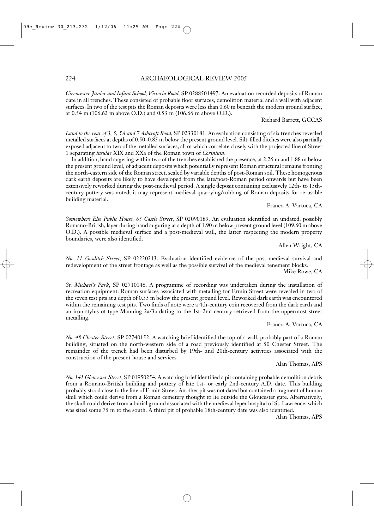# 224 ARCHAEOLOGICAL REVIEW 2005

*Cirencester Junior and Infant School, Victoria Road,* SP 0288501497. An evaluation recorded deposits of Roman date in all trenches. These consisted of probable floor surfaces, demolition material and a wall with adjacent surfaces. In two of the test pits the Roman deposits were less than 0.60 m beneath the modern ground surface, at 0.54 m (106.62 m above O.D.) and 0.53 m (106.66 m above O.D.).

Richard Barrett, GCCAS

*Land to the rear of 3, 5, 5A and 7 Ashcroft Road*, SP 02330181. An evaluation consisting of six trenches revealed metalled surfaces at depths of 0.50–0.85 m below the present ground level. Silt-filled ditches were also partially exposed adjacent to two of the metalled surfaces, all of which correlate closely with the projected line of Street 1 separating *insulae* XIX and XXa of the Roman town of *Corinium*.

In addition, hand augering within two of the trenches established the presence, at 2.26 m and 1.88 m below the present ground level, of adjacent deposits which potentially represent Roman structural remains fronting the north-eastern side of the Roman street, sealed by variable depths of post-Roman soil. These homogenous dark earth deposits are likely to have developed from the late/post-Roman period onwards but have been extensively reworked during the post-medieval period. A single deposit containing exclusively 12th- to 15thcentury pottery was noted; it may represent medieval quarrying/robbing of Roman deposits for re-usable building material.

# Franco A. Vartuca, CA

*Somewhere Else Public House, 65 Castle Street,* SP 02090189. An evaluation identified an undated, possibly Romano-British, layer during hand auguring at a depth of 1.90 m below present ground level (109.60 m above O.D.). A possible medieval surface and a post-medieval wall, the latter respecting the modern property boundaries, were also identified.

Allen Wright, CA

*No. 11 Gosditch Street,* SP 02220213. Evaluation identified evidence of the post-medieval survival and redevelopment of the street frontage as well as the possible survival of the medieval tenement blocks.

Mike Rowe, CA

*St. Michael's Park*, SP 02710146. A programme of recording was undertaken during the installation of recreation equipment. Roman surfaces associated with metalling for Ermin Street were revealed in two of the seven test pits at a depth of 0.35 m below the present ground level. Reworked dark earth was encountered within the remaining test pits. Two finds of note were a 4th-century coin recovered from the dark earth and an iron stylus of type Manning 2a/3a dating to the 1st–2nd century retrieved from the uppermost street metalling.

# Franco A. Vartuca, CA

*No. 48 Chester Street*, SP 02740152. A watching brief identified the top of a wall, probably part of a Roman building, situated on the north-western side of a road previously identified at 50 Chester Street. The remainder of the trench had been disturbed by 19th- and 20th-century activities associated with the construction of the present house and services.

Alan Thomas, APS

*No. 141 Gloucester Street*, SP 01950254. A watching brief identified a pit containing probable demolition debris from a Romano-British building and pottery of late 1st- or early 2nd-century A.D. date. This building probably stood close to the line of Ermin Street. Another pit was not dated but contained a fragment of human skull which could derive from a Roman cemetery thought to lie outside the Gloucester gate. Alternatively, the skull could derive from a burial ground associated with the medieval leper hospital of St. Lawrence, which was sited some 75 m to the south. A third pit of probable 18th-century date was also identified.

Alan Thomas, APS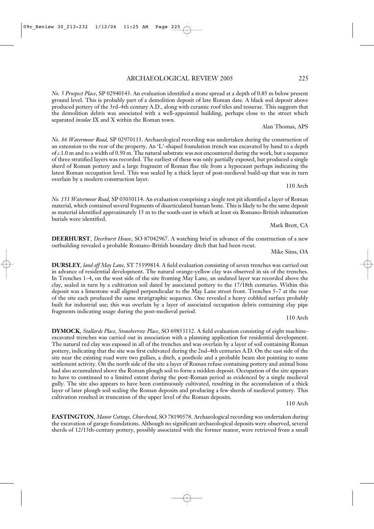Alan Thomas, APS

overlain by a modern construction layer. *No. 151 Watermoor Road,* SP 03030114. An evaluation comprising a single test pit identified a layer of Roman

material, which contained several fragments of disarticulated human bone. This is likely to be the same deposit as material identified approximately 15 m to the south-east in which at least six Romano-British inhumation burials were identified. Mark Brett, CA

**DEERHURST**, *Deerhurst House*, SO 87042967. A watching brief in advance of the construction of a new outbuilding revealed a probable Romano-British boundary ditch that had been recut.

Mike Sims, OA

**DURSLEY***, land off May Lane,* ST 75399814. A field evaluation consisting of seven trenches was carried out in advance of residential development. The natural orange-yellow clay was observed in six of the trenches. In Trenches 1–4, on the west side of the site fronting May Lane, an undated layer was recorded above the clay, sealed in turn by a cultivation soil dated by associated pottery to the 17/18th centuries. Within this deposit was a limestone wall aligned perpendicular to the May Lane street front. Trenches 5–7 at the rear of the site each produced the same stratigraphic sequence. One revealed a heavy cobbled surface probably built for industrial use; this was overlain by a layer of associated occupation debris containing clay pipe fragments indicating usage during the post-medieval period.

110 Arch

**DYMOCK**, *Stallards Place, Stoneberrow Place*, SO 69853132. A field evaluation consisting of eight machineexcavated trenches was carried out in association with a planning application for residential development. The natural red clay was exposed in all of the trenches and was overlain by a layer of soil containing Roman pottery, indicating that the site was first cultivated during the 2nd–4th centuries A.D. On the east side of the site near the existing road were two gullies, a ditch, a posthole and a probable beam slot pointing to some settlement activity. On the north side of the site a layer of Roman refuse containing pottery and animal bone had also accumulated above the Roman plough soil to form a midden deposit. Occupation of the site appears to have to continued to a limited extent during the post-Roman period as evidenced by a single medieval gully. The site also appears to have been continuously cultivated, resulting in the accumulation of a thick layer of later plough soil sealing the Roman deposits and producing a few sherds of medieval pottery. This cultivation resulted in truncation of the upper level of the Roman deposits.

110 Arch

**EASTINGTON**, *Manor Cottage, Churchend*, SO 78190578. Archaeological recording was undertaken during the excavation of garage foundations. Although no significant archaeological deposits were observed, several sherds of 12/13th-century pottery, possibly associated with the former manor, were retrieved from a small

### ARCHAEOLOGICAL REVIEW 2005 225

*No. 5 Prospect Place*, SP 02940143. An evaluation identified a stone spread at a depth of 0.85 m below present ground level. This is probably part of a demolition deposit of late Roman date. A black soil deposit above produced pottery of the 3rd–4th century A.D., along with ceramic roof tiles and tesserae. This suggests that the demolition debris was associated with a well-appointed building, perhaps close to the street which

*No. 86 Watermoor Road,* SP 02970113. Archaeological recording was undertaken during the construction of an extension to the rear of the property. An 'L'-shaped foundation trench was excavated by hand to a depth of *c*.1.0 m and to a width of 0.50 m. The natural substrate was not encountered during the work, but a sequence of three stratified layers was recorded. The earliest of these was only partially exposed, but produced a single sherd of Roman pottery and a large fragment of Roman flue tile from a hypocaust perhaps indicating the latest Roman occupation level. This was sealed by a thick layer of post-medieval build-up that was in turn

separated *insulae* IX and X within the Roman town.

110 Arch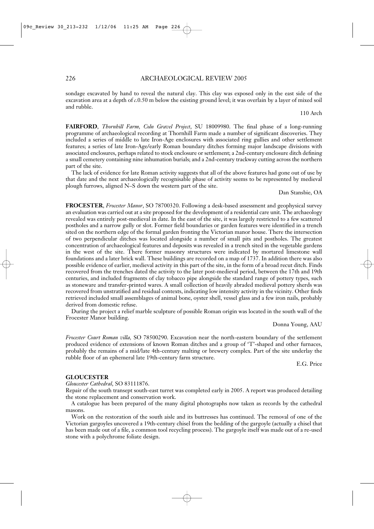sondage excavated by hand to reveal the natural clay. This clay was exposed only in the east side of the excavation area at a depth of *c*.0.50 m below the existing ground level; it was overlain by a layer of mixed soil and rubble.

110 Arch

**FAIRFORD**, *Thornhill Farm, Coln Gravel Project*, SU 18009980. The final phase of a long-running programme of archaeological recording at Thornhill Farm made a number of significant discoveries. They included a series of middle to late Iron-Age enclosures with associated ring gullies and other settlement features; a series of late Iron-Age/early Roman boundary ditches forming major landscape divisions with associated enclosures, perhaps related to stock enclosure or settlement; a 2nd-century enclosure ditch defining a small cemetery containing nine inhumation burials; and a 2nd-century trackway cutting across the northern part of the site.

The lack of evidence for late Roman activity suggests that all of the above features had gone out of use by that date and the next archaeologically recognisable phase of activity seems to be represented by medieval plough furrows, aligned N–S down the western part of the site.

### Dan Stansbie, OA

**FROCESTER**, *Frocester Manor*, SO 78700320. Following a desk-based assessment and geophysical survey an evaluation was carried out at a site proposed for the development of a residential care unit. The archaeology revealed was entirely post-medieval in date. In the east of the site, it was largely restricted to a few scattered postholes and a narrow gully or slot. Former field boundaries or garden features were identified in a trench sited on the northern edge of the formal garden fronting the Victorian manor house. There the intersection of two perpendicular ditches was located alongside a number of small pits and postholes. The greatest concentration of archaeological features and deposits was revealed in a trench sited in the vegetable gardens in the west of the site. There former masonry structures were indicated by mortared limestone wall foundations and a later brick wall. These buildings are recorded on a map of 1737. In addition there was also possible evidence of earlier, medieval activity in this part of the site, in the form of a broad recut ditch. Finds recovered from the trenches dated the activity to the later post-medieval period, between the 17th and 19th centuries, and included fragments of clay tobacco pipe alongside the standard range of pottery types, such as stoneware and transfer-printed wares. A small collection of heavily abraded medieval pottery sherds was recovered from unstratified and residual contexts, indicating low intensity activity in the vicinity. Other finds retrieved included small assemblages of animal bone, oyster shell, vessel glass and a few iron nails, probably derived from domestic refuse.

During the project a relief marble sculpture of possible Roman origin was located in the south wall of the Frocester Manor building.

Donna Young, AAU

*Frocester Court Roman villa,* SO 78500290. Excavation near the north-eastern boundary of the settlement produced evidence of extensions of known Roman ditches and a group of 'T'-shaped and other furnaces, probably the remains of a mid/late 4th-century malting or brewery complex. Part of the site underlay the rubble floor of an ephemeral late 19th-century farm structure.

E.G. Price

### **GLOUCESTER**

*Gloucester Cathedral*, SO 83111876.

Repair of the south transept south-east turret was completed early in 2005. A report was produced detailing the stone replacement and conservation work.

A catalogue has been prepared of the many digital photographs now taken as records by the cathedral masons.

Work on the restoration of the south aisle and its buttresses has continued. The removal of one of the Victorian gargoyles uncovered a 19th-century chisel from the bedding of the gargoyle (actually a chisel that has been made out of a file, a common tool recycling process). The gargoyle itself was made out of a re-used stone with a polychrome foliate design.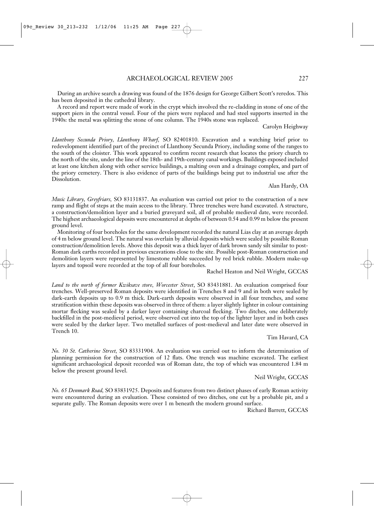During an archive search a drawing was found of the 1876 design for George Gilbert Scott's reredos. This has been deposited in the cathedral library.

A record and report were made of work in the crypt which involved the re-cladding in stone of one of the support piers in the central vessel. Four of the piers were replaced and had steel supports inserted in the 1940s: the metal was splitting the stone of one column. The 1940s stone was replaced.

Carolyn Heighway

*Llanthony Secunda Priory, Llanthony Wharf,* SO 82401810. Excavation and a watching brief prior to redevelopment identified part of the precinct of Llanthony Secunda Priory, including some of the ranges to the south of the cloister. This work appeared to confirm recent research that locates the priory church to the north of the site, under the line of the 18th- and 19th-century canal workings. Buildings exposed included at least one kitchen along with other service buildings, a malting oven and a drainage complex, and part of the priory cemetery. There is also evidence of parts of the buildings being put to industrial use after the Dissolution.

### Alan Hardy, OA

*Music Library, Greyfriars,* SO 83131837. An evaluation was carried out prior to the construction of a new ramp and flight of steps at the main access to the library. Three trenches were hand excavated. A structure, a construction/demolition layer and a buried graveyard soil, all of probable medieval date, were recorded. The highest archaeological deposits were encountered at depths of between 0.54 and 0.99 m below the present ground level.

Monitoring of four boreholes for the same development recorded the natural Lias clay at an average depth of 4 m below ground level. The natural was overlain by alluvial deposits which were sealed by possible Roman construction/demolition levels. Above this deposit was a thick layer of dark brown sandy silt similar to post-Roman dark earths recorded in previous excavations close to the site. Possible post-Roman construction and demolition layers were represented by limestone rubble succeeded by red brick rubble. Modern make-up layers and topsoil were recorded at the top of all four boreholes.

Rachel Heaton and Neil Wright, GCCAS

*Land to the north of former Kwiksave store, Worcester Street*, SO 83431881. An evaluation comprised four trenches. Well-preserved Roman deposits were identified in Trenches 8 and 9 and in both were sealed by dark-earth deposits up to 0.9 m thick. Dark-earth deposits were observed in all four trenches, and some stratification within these deposits was observed in three of them: a layer slightly lighter in colour containing mortar flecking was sealed by a darker layer containing charcoal flecking. Two ditches, one deliberately backfilled in the post-medieval period, were observed cut into the top of the lighter layer and in both cases were sealed by the darker layer. Two metalled surfaces of post-medieval and later date were observed in Trench 10.

Tim Havard, CA

*No. 30 St. Catherine Street,* SO 83331904. An evaluation was carried out to inform the determination of planning permission for the construction of 12 flats. One trench was machine excavated. The earliest significant archaeological deposit recorded was of Roman date, the top of which was encountered 1.84 m below the present ground level.

Neil Wright, GCCAS

*No. 65 Denmark Road,* SO 83831925. Deposits and features from two distinct phases of early Roman activity were encountered during an evaluation. These consisted of two ditches, one cut by a probable pit, and a separate gully. The Roman deposits were over 1 m beneath the modern ground surface.

Richard Barrett, GCCAS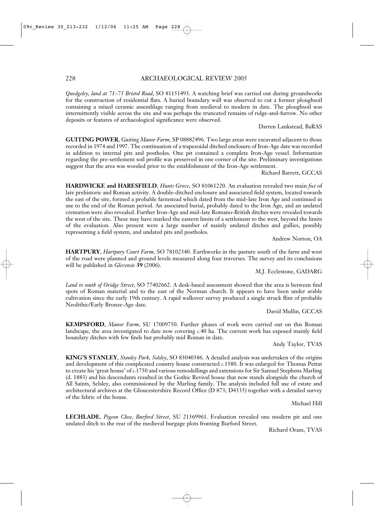*Quedgeley, land at 71–73 Bristol Road*, SO 81151493. A watching brief was carried out during groundworks for the construction of residential flats. A buried boundary wall was observed to cut a former ploughsoil containing a mixed ceramic assemblage ranging from medieval to modern in date. The ploughsoil was intermittently visible across the site and was perhaps the truncated remains of ridge-and-furrow. No other deposits or features of archaeological significance were observed.

Darren Lankstead, BaRAS

**GUITING POWER**, *Guiting Manor Farm,* SP 08882496. Two large areas were excavated adjacent to those recorded in 1974 and 1997. The continuation of a trapezoidal ditched enclosure of Iron-Age date was recorded in addition to internal pits and postholes. One pit contained a complete Iron-Age vessel. Information regarding the pre-settlement soil profile was preserved in one corner of the site. Preliminary investigations suggest that the area was wooded prior to the establishment of the Iron-Age settlement.

Richard Barrett, GCCAS

**HARDWICKE and HARESFIELD**, *Hunts Grove,* SO 81061220. An evaluation revealed two main *foci* of late prehistoric and Roman activity. A double-ditched enclosure and associated field system, located towards the east of the site, formed a probable farmstead which dated from the mid–late Iron Age and continued in use to the end of the Roman period. An associated burial, probably dated to the Iron Age, and an undated cremation were also revealed. Further Iron-Age and mid–late Romano-British ditches were revealed towards the west of the site. These may have marked the eastern limits of a settlement to the west, beyond the limits of the evaluation. Also present were a large number of mainly undated ditches and gullies, possibly representing a field system, and undated pits and postholes.

Andrew Norton, OA

**HARTPURY**, *Hartpury Court Farm,* SO 78102340. Earthworks in the pasture south of the farm and west of the road were planned and ground levels measured along four traverses. The survey and its conclusions will be published in *Glevensis* **39** (2006).

M.J. Ecclestone, GADARG

*Land to south of Oridge Street*, SO 77402662. A desk-based assessment showed that the area is between find spots of Roman material and to the east of the Norman church. It appears to have been under arable cultivation since the early 19th century. A rapid walkover survey produced a single struck flint of probable Neolithic/Early Bronze-Age date.

David Mullin, GCCAS

**KEMPSFORD**, *Manor Farm*, SU 17009750. Further phases of work were carried out on this Roman landscape, the area investigated to date now covering *c*.40 ha. The current work has exposed mainly field boundary ditches with few finds but probably mid Roman in date.

Andy Taylor, TVAS

**KING'S STANLEY**, *Stanley Park, Selsley*, SO 83040386. A detailed analysis was undertaken of the origins and development of this complicated country house constructed *c*.1580. It was enlarged for Thomas Pettat to create his 'great house' of *c*.1750 and various remodellings and extensions for Sir Samuel Stephens Marling (d. 1883) and his descendants resulted in the Gothic Revival house that now stands alongside the church of All Saints, Selsley, also commissioned by the Marling family. The analysis included full use of estate and architectural archives at the Gloucestershire Record Office (D 873; D4335) together with a detailed survey of the fabric of the house.

Michael Hill

**LECHLADE***, Pigeon Close, Burford Street*, SU 21369961. Evaluation revealed one modern pit and one undated ditch to the rear of the medieval burgage plots fronting Burford Street.

Richard Oram, TVAS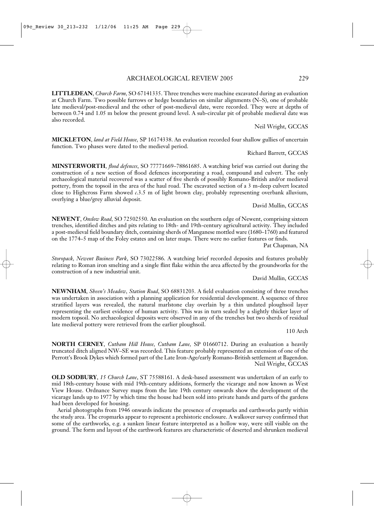# ARCHAEOLOGICAL REVIEW 2005 229

**LITTLEDEAN**, *Church Farm,* SO 67141335. Three trenches were machine excavated during an evaluation at Church Farm. Two possible furrows or hedge boundaries on similar alignments (N–S), one of probable late medieval/post-medieval and the other of post-medieval date, were recorded. They were at depths of between 0.74 and 1.05 m below the present ground level. A sub-circular pit of probable medieval date was also recorded.

Neil Wright, GCCAS

**MICKLETON**, *land at Field House,* SP 16174338. An evaluation recorded four shallow gullies of uncertain function. Two phases were dated to the medieval period.

Richard Barrett, GCCAS

**MINSTERWORTH**, *flood defences*, SO 77771669–78861685. A watching brief was carried out during the construction of a new section of flood defences incorporating a road, compound and culvert. The only archaeological material recovered was a scatter of five sherds of possibly Romano-British and/or medieval pottery, from the topsoil in the area of the haul road. The excavated section of a 3 m-deep culvert located close to Highcross Farm showed *c*.3.5 m of light brown clay, probably representing overbank alluvium, overlying a blue/grey alluvial deposit.

David Mullin, GCCAS

**NEWENT**, *Onslow Road,* SO 72502550. An evaluation on the southern edge of Newent, comprising sixteen trenches, identified ditches and pits relating to 18th- and 19th-century agricultural activity. They included a post-medieval field boundary ditch, containing sherds of Manganese mottled ware (1680–1760) and featured on the 1774–5 map of the Foley estates and on later maps. There were no earlier features or finds.

Pat Chapman*,* NA

*Storopack, Newent Business Park*, SO 73022586. A watching brief recorded deposits and features probably relating to Roman iron smelting and a single flint flake within the area affected by the groundworks for the construction of a new industrial unit.

David Mullin, GCCAS

**NEWNHAM**, *Sheen's Meadow, Station Road*, SO 68831203. A field evaluation consisting of three trenches was undertaken in association with a planning application for residential development. A sequence of three stratified layers was revealed, the natural marlstone clay overlain by a thin undated ploughsoil layer representing the earliest evidence of human activity. This was in turn sealed by a slightly thicker layer of modern topsoil. No archaeological deposits were observed in any of the trenches but two sherds of residual late medieval pottery were retrieved from the earlier ploughsoil.

110 Arch

**NORTH CERNEY**, *Cutham Hill House, Cutham Lane,* SP 01660712. During an evaluation a heavily truncated ditch aligned NW–SE was recorded. This feature probably represented an extension of one of the Perrott's Brook Dykes which formed part of the Late Iron-Age/early Romano-British settlement at Bagendon. Neil Wright, GCCAS

**OLD SODBURY**, *15 Church Lane*, ST 75588161. A desk-based assessment was undertaken of an early to mid 18th-century house with mid 19th-century additions, formerly the vicarage and now known as West View House. Ordnance Survey maps from the late 19th century onwards show the development of the vicarage lands up to 1977 by which time the house had been sold into private hands and parts of the gardens had been developed for housing.

Aerial photographs from 1946 onwards indicate the presence of cropmarks and earthworks partly within the study area. The cropmarks appear to represent a prehistoric enclosure. A walkover survey confirmed that some of the earthworks, e.g. a sunken linear feature interpreted as a hollow way, were still visible on the ground. The form and layout of the earthwork features are characteristic of deserted and shrunken medieval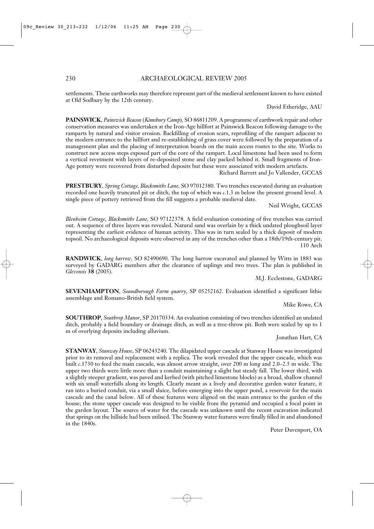settlements. These earthworks may therefore represent part of the medieval settlement known to have existed at Old Sodbury by the 12th century.

David Etheridge, AAU

**PAINSWICK**, *Painswick Beacon* (*Kimsbury Camp*)*,* SO 86811209. A programme of earthwork repair and other conservation measures was undertaken at the Iron-Age hillfort at Painswick Beacon following damage to the ramparts by natural and visitor erosion. Backfilling of erosion scars, reprofiling of the rampart adjacent to the modern entrance to the hillfort and re-establishing of grass cover were followed by the preparation of a management plan and the placing of interpretation boards on the main access routes to the site. Works to construct new access steps exposed part of the core of the rampart. Local limestone had been used to form a vertical revetment with layers of re-deposited stone and clay packed behind it. Small fragments of Iron-Age pottery were recovered from disturbed deposits but these were associated with modern artefacts.

Richard Barrett and Jo Vallender, GCCAS

**PRESTBURY**, *Spring Cottage, Blacksmiths Lane,* SO 97012380. Two trenches excavated during an evaluation recorded one heavily truncated pit or ditch, the top of which was *c*.1.3 m below the present ground level. A single piece of pottery retrieved from the fill suggests a probable medieval date.

Neil Wright, GCCAS

*Blenheim Cottage, Blacksmiths Lane,* SO 97122378. A field evaluation consisting of five trenches was carried out. A sequence of three layers was revealed. Natural sand was overlain by a thick undated ploughsoil layer representing the earliest evidence of human activity. This was in turn sealed by a thick deposit of modern topsoil. No archaeological deposits were observed in any of the trenches other than a 18th/19th-century pit. 110 Arch

**RANDWICK**, *long barrow,* SO 82490690. The long barrow excavated and planned by Witts in 1883 was surveyed by GADARG members after the clearance of saplings and two trees. The plan is published in *Glevensis* **38** (2005).

M.J. Ecclestone, GADARG

**SEVENHAMPTON**, *Soundborough Farm quarry,* SP 05252162. Evaluation identified a significant lithic assemblage and Romano-British field system.

Mike Rowe, CA

**SOUTHROP**, *Southrop Manor*, SP 20170334. An evaluation consisting of two trenches identified an undated ditch, probably a field boundary or drainage ditch, as well as a tree-throw pit. Both were sealed by up to 1 m of overlying deposits including alluvium.

Jonathan Hart, CA

**STANWAY**, *Stanway House*, SP 06243240. The dilapidated upper cascade at Stanway House was investigated prior to its removal and replacement with a replica. The work revealed that the upper cascade, which was built *c*.1730 to feed the main cascade, was almost arrow straight, over 200 m long and 2.0–2.5 m wide. The upper two thirds were little more than a conduit maintaining a slight but steady fall. The lower third, with a slightly steeper gradient, was paved and kerbed (with pitched limestone blocks) as a broad, shallow channel with six small waterfalls along its length. Clearly meant as a lively and decorative garden water feature, it ran into a buried conduit, via a small sluice, before emerging into the upper pond, a reservoir for the main cascade and the canal below. All of these features were aligned on the main entrance to the garden of the house; the stone upper cascade was designed to be visible from the pyramid and occupied a focal point in the garden layout. The source of water for the cascade was unknown until the recent excavation indicated that springs on the hillside had been utilised. The Stanway water features were finally filled in and abandoned in the 1840s.

Peter Davenport, OA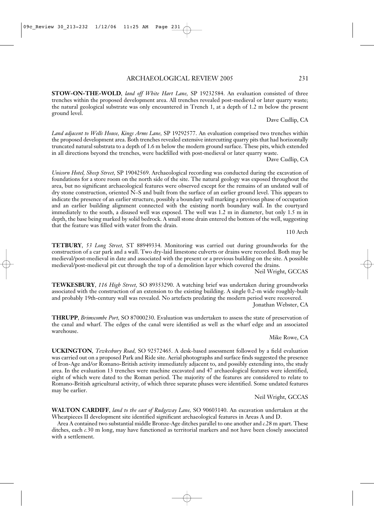**STOW-ON-THE-WOLD**, *land off White Hart Lane,* SP 19232584. An evaluation consisted of three trenches within the proposed development area. All trenches revealed post-medieval or later quarry waste; the natural geological substrate was only encountered in Trench 1, at a depth of 1.2 m below the present ground level.

Dave Cudlip, CA

*Land adjacent to Wells House, Kings Arms Lane,* SP 19292577. An evaluation comprised two trenches within the proposed development area. Both trenches revealed extensive intercutting quarry pits that had horizontally truncated natural substrata to a depth of 1.6 m below the modern ground surface. These pits, which extended in all directions beyond the trenches, were backfilled with post-medieval or later quarry waste.

Dave Cudlip, CA

*Unicorn Hotel, Sheep Street,* SP 19042569. Archaeological recording was conducted during the excavation of foundations for a store room on the north side of the site. The natural geology was exposed throughout the area, but no significant archaeological features were observed except for the remains of an undated wall of dry stone construction, oriented N–S and built from the surface of an earlier ground level. This appears to indicate the presence of an earlier structure, possibly a boundary wall marking a previous phase of occupation and an earlier building alignment connected with the existing north boundary wall. In the courtyard immediately to the south, a disused well was exposed. The well was 1.2 m in diameter, but only 1.5 m in depth, the base being marked by solid bedrock. A small stone drain entered the bottom of the well, suggesting that the feature was filled with water from the drain.

110 Arch

**TETBURY**, *53 Long Street,* ST 88949334. Monitoring was carried out during groundworks for the construction of a car park and a wall. Two dry-laid limestone culverts or drains were recorded. Both may be medieval/post-medieval in date and associated with the present or a previous building on the site. A possible medieval/post-medieval pit cut through the top of a demolition layer which covered the drains.

Neil Wright, GCCAS

**TEWKESBURY**, *116 High Street,* SO 89353290. A watching brief was undertaken during groundworks associated with the construction of an extension to the existing building. A single 0.2-m wide roughly-built and probably 19th-century wall was revealed. No artefacts predating the modern period were recovered.

Jonathan Webster, CA

**THRUPP**, *Brimscombe Port,* SO 87000230. Evaluation was undertaken to assess the state of preservation of the canal and wharf. The edges of the canal were identified as well as the wharf edge and an associated warehouse.

Mike Rowe, CA

**UCKINGTON**, *Tewkesbury Road,* SO 92572465. A desk-based assessment followed by a field evaluation was carried out on a proposed Park and Ride site. Aerial photographs and surface finds suggested the presence of Iron-Age and/or Romano-British activity immediately adjacent to, and possibly extending into, the study area. In the evaluation 13 trenches were machine excavated and 47 archaeological features were identified, eight of which were dated to the Roman period. The majority of the features are considered to relate to Romano-British agricultural activity, of which three separate phases were identified. Some undated features may be earlier.

Neil Wright, GCCAS

**WALTON CARDIFF**, *land to the east of Rudgeway Lane,* SO 90603140. An excavation undertaken at the Wheatpieces II development site identified significant archaeological features in Areas A and D.

Area A contained two substantial middle Bronze-Age ditches parallel to one another and *c.*28 m apart. These ditches, each *c.*30 m long, may have functioned as territorial markers and not have been closely associated with a settlement.